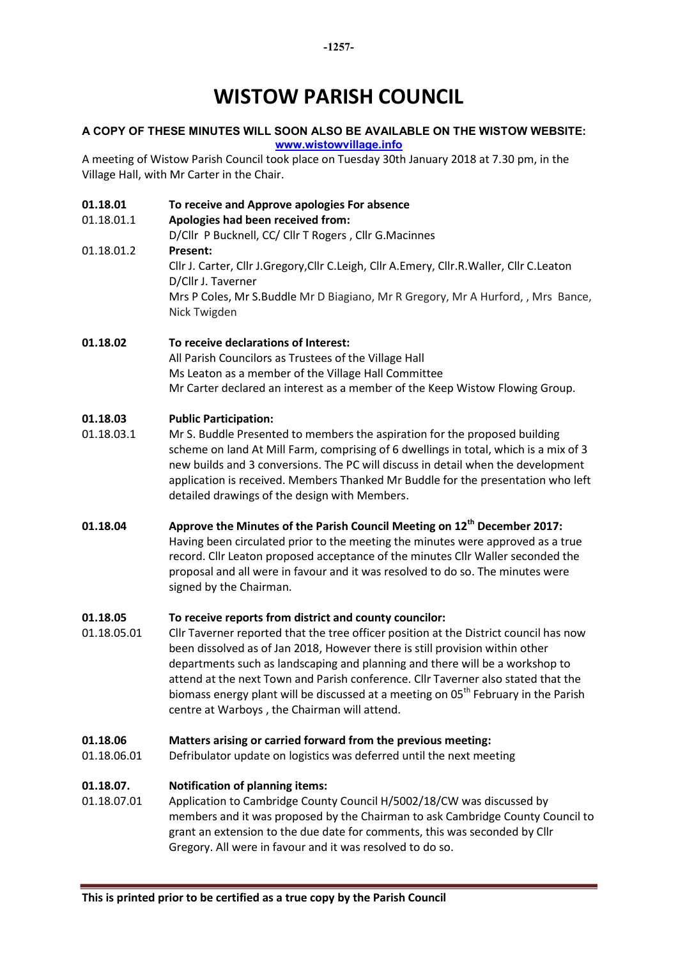# WISTOW PARISH COUNCIL

# A COPY OF THESE MINUTES WILL SOON ALSO BE AVAILABLE ON THE WISTOW WEBSITE: www.wistowvillage.info

A meeting of Wistow Parish Council took place on Tuesday 30th January 2018 at 7.30 pm, in the Village Hall, with Mr Carter in the Chair.

# 01.18.01 To receive and Approve apologies For absence

# 01.18.01.1 Apologies had been received from:

D/Cllr P Bucknell, CC/ Cllr T Rogers , Cllr G.Macinnes 01.18.01.2 Present: Cllr J. Carter, Cllr J.Gregory,Cllr C.Leigh, Cllr A.Emery, Cllr.R.Waller, Cllr C.Leaton D/Cllr J. Taverner Mrs P Coles, Mr S.Buddle Mr D Biagiano, Mr R Gregory, Mr A Hurford, , Mrs Bance, Nick Twigden

01.18.02 To receive declarations of Interest: All Parish Councilors as Trustees of the Village Hall Ms Leaton as a member of the Village Hall Committee Mr Carter declared an interest as a member of the Keep Wistow Flowing Group.

#### 01.18.03 Public Participation:

- 01.18.03.1 Mr S. Buddle Presented to members the aspiration for the proposed building scheme on land At Mill Farm, comprising of 6 dwellings in total, which is a mix of 3 new builds and 3 conversions. The PC will discuss in detail when the development application is received. Members Thanked Mr Buddle for the presentation who left detailed drawings of the design with Members.
- 01.18.04 Approve the Minutes of the Parish Council Meeting on 12<sup>th</sup> December 2017: Having been circulated prior to the meeting the minutes were approved as a true record. Cllr Leaton proposed acceptance of the minutes Cllr Waller seconded the proposal and all were in favour and it was resolved to do so. The minutes were signed by the Chairman.

# 01.18.05 To receive reports from district and county councilor:

01.18.05.01 Cllr Taverner reported that the tree officer position at the District council has now been dissolved as of Jan 2018, However there is still provision within other departments such as landscaping and planning and there will be a workshop to attend at the next Town and Parish conference. Cllr Taverner also stated that the biomass energy plant will be discussed at a meeting on 05<sup>th</sup> February in the Parish centre at Warboys , the Chairman will attend.

# 01.18.06 Matters arising or carried forward from the previous meeting:

01.18.06.01 Defribulator update on logistics was deferred until the next meeting

# 01.18.07. Notification of planning items:

01.18.07.01 Application to Cambridge County Council H/5002/18/CW was discussed by members and it was proposed by the Chairman to ask Cambridge County Council to grant an extension to the due date for comments, this was seconded by Cllr Gregory. All were in favour and it was resolved to do so.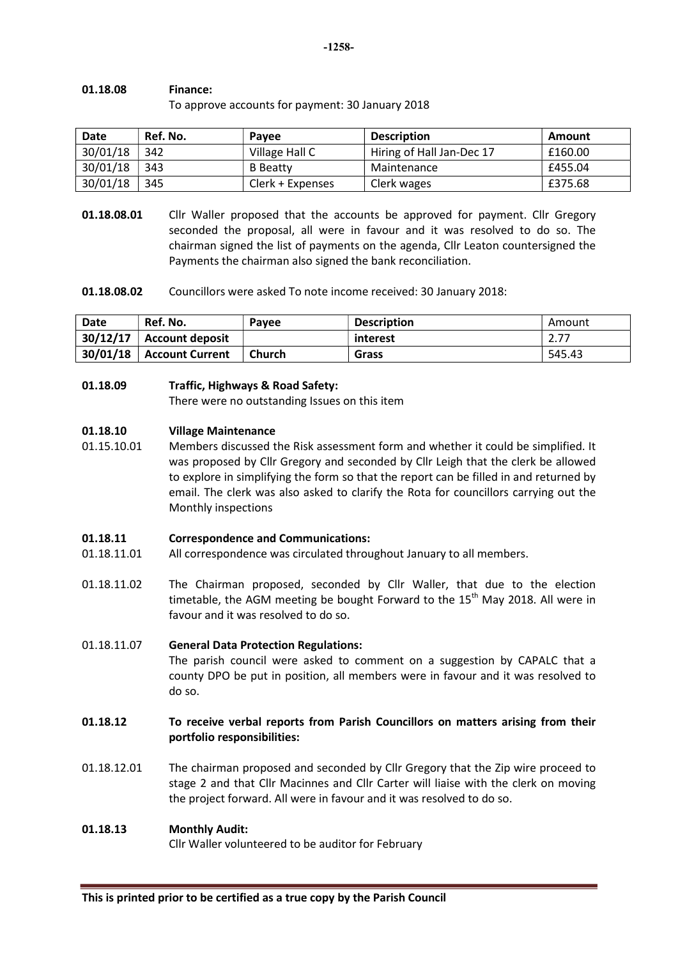## 01.18.08 Finance:

To approve accounts for payment: 30 January 2018

| <b>Date</b> | Ref. No. | <b>Pavee</b>     | <b>Description</b>        | Amount  |
|-------------|----------|------------------|---------------------------|---------|
| 30/01/18    | 342      | Village Hall C   | Hiring of Hall Jan-Dec 17 | £160.00 |
| 30/01/18    | 343      | <b>B</b> Beatty  | Maintenance               | £455.04 |
| 30/01/18    | 345      | Clerk + Expenses | Clerk wages               | £375.68 |

- **01.18.08.01** Cllr Waller proposed that the accounts be approved for payment. Cllr Gregory seconded the proposal, all were in favour and it was resolved to do so. The chairman signed the list of payments on the agenda, Cllr Leaton countersigned the Payments the chairman also signed the bank reconciliation.
- 01.18.08.02 Councillors were asked To note income received: 30 January 2018:

| Date     | Ref. No.               | Payee  | <b>Description</b> | Amount |
|----------|------------------------|--------|--------------------|--------|
| 30/12/17 | <b>Account deposit</b> |        | interest           | 2.77   |
| 30/01/18 | <b>Account Current</b> | Church | Grass              | 545.43 |

## 01.18.09 Traffic, Highways & Road Safety:

There were no outstanding Issues on this item

#### 01.18.10 Village Maintenance

01.15.10.01 Members discussed the Risk assessment form and whether it could be simplified. It was proposed by Cllr Gregory and seconded by Cllr Leigh that the clerk be allowed to explore in simplifying the form so that the report can be filled in and returned by email. The clerk was also asked to clarify the Rota for councillors carrying out the Monthly inspections

# 01.18.11 Correspondence and Communications:

- 01.18.11.01 All correspondence was circulated throughout January to all members.
- 01.18.11.02 The Chairman proposed, seconded by Cllr Waller, that due to the election timetable, the AGM meeting be bought Forward to the  $15<sup>th</sup>$  May 2018. All were in favour and it was resolved to do so.

# 01.18.11.07 General Data Protection Regulations:

The parish council were asked to comment on a suggestion by CAPALC that a county DPO be put in position, all members were in favour and it was resolved to do so.

# 01.18.12 To receive verbal reports from Parish Councillors on matters arising from their portfolio responsibilities:

01.18.12.01 The chairman proposed and seconded by Cllr Gregory that the Zip wire proceed to stage 2 and that Cllr Macinnes and Cllr Carter will liaise with the clerk on moving the project forward. All were in favour and it was resolved to do so.

# 01.18.13 Monthly Audit:

Cllr Waller volunteered to be auditor for February